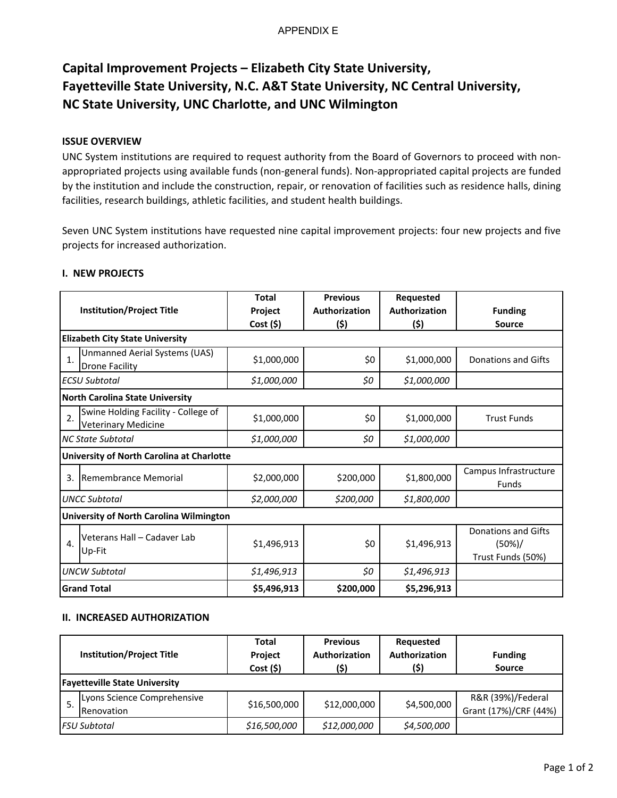# APPENDIX E

# **Capital Improvement Projects – Elizabeth City State University, Fayetteville State University, N.C. A&T State University, NC Central University, NC State University, UNC Charlotte, and UNC Wilmington**

# **ISSUE OVERVIEW**

UNC System institutions are required to request authority from the Board of Governors to proceed with non‐ appropriated projects using available funds (non‐general funds). Non‐appropriated capital projects are funded by the institution and include the construction, repair, or renovation of facilities such as residence halls, dining facilities, research buildings, athletic facilities, and student health buildings.

Seven UNC System institutions have requested nine capital improvement projects: four new projects and five projects for increased authorization.

|                                                                         | <b>Total</b> | <b>Previous</b> | Requested            |                                                           |  |  |
|-------------------------------------------------------------------------|--------------|-----------------|----------------------|-----------------------------------------------------------|--|--|
| <b>Institution/Project Title</b>                                        | Project      | Authorization   | <b>Authorization</b> | <b>Funding</b>                                            |  |  |
|                                                                         | Cost (5)     | (\$)            | (\$)                 | <b>Source</b>                                             |  |  |
| <b>Elizabeth City State University</b>                                  |              |                 |                      |                                                           |  |  |
| Unmanned Aerial Systems (UAS)<br>$\mathbf{1}$<br><b>Drone Facility</b>  | \$1,000,000  | \$0             | \$1,000,000          | Donations and Gifts                                       |  |  |
| <b>ECSU Subtotal</b>                                                    | \$1,000,000  | \$0             | \$1,000,000          |                                                           |  |  |
| <b>North Carolina State University</b>                                  |              |                 |                      |                                                           |  |  |
| Swine Holding Facility - College of<br>2.<br><b>Veterinary Medicine</b> | \$1,000,000  | \$0             | \$1,000,000          | <b>Trust Funds</b>                                        |  |  |
| <b>NC State Subtotal</b>                                                | \$1,000,000  | \$0             | \$1,000,000          |                                                           |  |  |
| University of North Carolina at Charlotte                               |              |                 |                      |                                                           |  |  |
| Remembrance Memorial<br>3.                                              | \$2,000,000  | \$200,000       | \$1,800,000          | Campus Infrastructure<br><b>Funds</b>                     |  |  |
| <b>UNCC Subtotal</b>                                                    | \$2,000,000  | \$200,000       | \$1,800,000          |                                                           |  |  |
| <b>University of North Carolina Wilmington</b>                          |              |                 |                      |                                                           |  |  |
| Veterans Hall - Cadaver Lab<br>4.<br>Up-Fit                             | \$1,496,913  | \$0             | \$1,496,913          | <b>Donations and Gifts</b><br>(50%)/<br>Trust Funds (50%) |  |  |
| <b>UNCW Subtotal</b>                                                    | \$1,496,913  | \$0             | \$1,496,913          |                                                           |  |  |
| <b>Grand Total</b>                                                      | \$5,496,913  | \$200,000       | \$5,296,913          |                                                           |  |  |

# **I. NEW PROJECTS**

## **II. INCREASED AUTHORIZATION**

| <b>Institution/Project Title</b>     |                                           | <b>Total</b><br><b>Project</b><br>Cost(5) | <b>Previous</b><br>Authorization<br>(\$) | Requested<br>Authorization<br>(\$) | <b>Funding</b><br><b>Source</b>            |  |
|--------------------------------------|-------------------------------------------|-------------------------------------------|------------------------------------------|------------------------------------|--------------------------------------------|--|
| <b>Fayetteville State University</b> |                                           |                                           |                                          |                                    |                                            |  |
|                                      | Lyons Science Comprehensive<br>Renovation | \$16,500,000                              | \$12,000,000                             | \$4,500,000                        | R&R (39%)/Federal<br>Grant (17%)/CRF (44%) |  |
|                                      | <b>FSU Subtotal</b>                       | \$16,500,000                              | \$12,000,000                             | \$4,500,000                        |                                            |  |